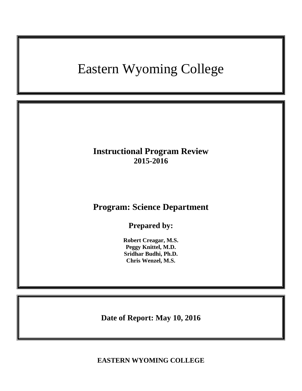# Eastern Wyoming College

# **Instructional Program Review 2015-2016**

# **Program: Science Department**

**Prepared by:**

**Robert Creagar, M.S. Peggy Knittel, M.D. Sridhar Budhi, Ph.D. Chris Wenzel, M.S.**

**Date of Report: May 10, 2016**

**EASTERN WYOMING COLLEGE**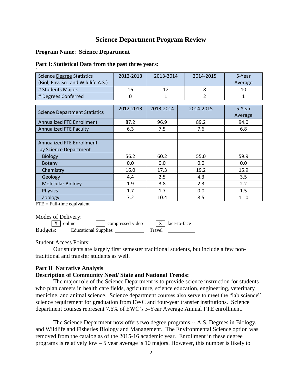## **Science Department Program Review**

#### **Program Name**: **Science Department**

#### **Part I: Statistical Data from the past three years:**

| <b>Science Degree Statistics</b>    | 2012-2013 | 2013-2014 | 2014-2015 | 5-Year  |
|-------------------------------------|-----------|-----------|-----------|---------|
| (Biol, Env. Sci, and Wildlife A.S.) |           |           |           | Average |
| # Students Majors                   | 16        |           |           | 10      |
| # Degrees Conferred                 |           |           |           |         |

| <b>Science Department Statistics</b> | 2012-2013 | 2013-2014 | 2014-2015 | 5-Year<br>Average |
|--------------------------------------|-----------|-----------|-----------|-------------------|
| <b>Annualized FTE Enrollment</b>     | 87.2      | 96.9      | 89.2      | 94.0              |
| <b>Annualized FTE Faculty</b>        | 6.3       | 7.5       | 7.6       | 6.8               |
|                                      |           |           |           |                   |
| <b>Annualized FTE Enrollment</b>     |           |           |           |                   |
| by Science Department                |           |           |           |                   |
| <b>Biology</b>                       | 56.2      | 60.2      | 55.0      | 59.9              |
| Botany                               | 0.0       | 0.0       | 0.0       | 0.0               |
| Chemistry                            | 16.0      | 17.3      | 19.2      | 15.9              |
| Geology                              | 4.4       | 2.5       | 4.3       | 3.5               |
| <b>Molecular Biology</b>             | 1.9       | 3.8       | 2.3       | 2.2               |
| <b>Physics</b>                       | 1.7       | 1.7       | 0.0       | 1.5               |
| Zoology                              | 7.2       | 10.4      | 8.5       | 11.0              |

 $\overline{FTE} = \text{Full-time equivalent}$ 

Modes of Delivery:

|          | $X$ online                  | compressed video |        | X face-to-face |
|----------|-----------------------------|------------------|--------|----------------|
| Budgets: | <b>Educational Supplies</b> |                  | Travel |                |

Student Access Points:

Our students are largely first semester traditional students, but include a few nontraditional and transfer students as well.

#### **Part II Narrative Analysis**

#### **Description of Community Need/ State and National Trends:**

The major role of the Science Department is to provide science instruction for students who plan careers in health care fields, agriculture, science education, engineering, veterinary medicine, and animal science. Science department courses also serve to meet the "lab science" science requirement for graduation from EWC and four-year transfer institutions. Science department courses represent 7.6% of EWC's 5-Year Average Annual FTE enrollment.

The Science Department now offers two degree programs -- A.S. Degrees in Biology, and Wildlife and Fisheries Biology and Management. The Environmental Science option was removed from the catalog as of the 2015-16 academic year. Enrollment in these degree programs is relatively low – 5 year average is 10 majors. However, this number is likely to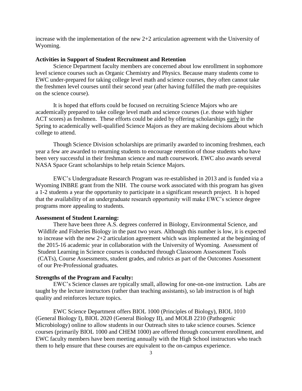increase with the implementation of the new  $2+2$  articulation agreement with the University of Wyoming.

#### **Activities in Support of Student Recruitment and Retention**

Science Department faculty members are concerned about low enrollment in sophomore level science courses such as Organic Chemistry and Physics. Because many students come to EWC under-prepared for taking college level math and science courses, they often cannot take the freshmen level courses until their second year (after having fulfilled the math pre-requisites on the science course).

It is hoped that efforts could be focused on recruiting Science Majors who are academically prepared to take college level math and science courses (i.e. those with higher ACT scores) as freshmen. These efforts could be aided by offering scholarships early in the Spring to academically well-qualified Science Majors as they are making decisions about which college to attend.

Though Science Division scholarships are primarily awarded to incoming freshmen, each year a few are awarded to returning students to encourage retention of those students who have been very successful in their freshman science and math coursework. EWC also awards several NASA Space Grant scholarships to help retain Science Majors.

EWC's Undergraduate Research Program was re-established in 2013 and is funded via a Wyoming INBRE grant from the NIH. The course work associated with this program has given a 1-2 students a year the opportunity to participate in a significant research project. It is hoped that the availability of an undergraduate research opportunity will make EWC's science degree programs more appealing to students.

#### **Assessment of Student Learning:**

There have been three A.S. degrees conferred in Biology, Environmental Science, and Wildlife and Fisheries Biology in the past two years. Although this number is low, it is expected to increase with the new 2+2 articulation agreement which was implemented at the beginning of the 2015-16 academic year in collaboration with the University of Wyoming. Assessment of Student Learning in Science courses is conducted through Classroom Assessment Tools (CATs), Course Assessments, student grades, and rubrics as part of the Outcomes Assessment of our Pre-Professional graduates.

#### **Strengths of the Program and Faculty:**

EWC's Science classes are typically small, allowing for one-on-one instruction. Labs are taught by the lecture instructors (rather than teaching assistants), so lab instruction is of high quality and reinforces lecture topics.

EWC Science Department offers BIOL 1000 (Principles of Biology), BIOL 1010 (General Biology I), BIOL 2020 (General Biology II), and MOLB 2210 (Pathogenic Microbiology) online to allow students in our Outreach sites to take science courses. Science courses (primarily BIOL 1000 and CHEM 1000) are offered through concurrent enrollment, and EWC faculty members have been meeting annually with the High School instructors who teach them to help ensure that these courses are equivalent to the on-campus experience.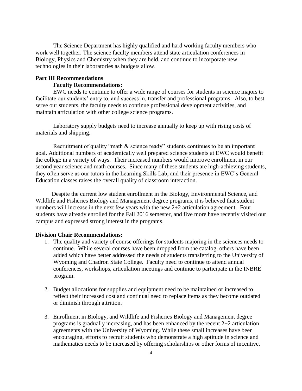The Science Department has highly qualified and hard working faculty members who work well together. The science faculty members attend state articulation conferences in Biology, Physics and Chemistry when they are held, and continue to incorporate new technologies in their laboratories as budgets allow.

#### **Part III Recommendations**

## **Faculty Recommendations:**

EWC needs to continue to offer a wide range of courses for students in science majors to facilitate our students' entry to, and success in, transfer and professional programs. Also, to best serve our students, the faculty needs to continue professional development activities, and maintain articulation with other college science programs.

Laboratory supply budgets need to increase annually to keep up with rising costs of materials and shipping.

Recruitment of quality "math & science ready" students continues to be an important goal. Additional numbers of academically well prepared science students at EWC would benefit the college in a variety of ways. Their increased numbers would improve enrollment in our second year science and math courses. Since many of these students are high-achieving students, they often serve as our tutors in the Learning Skills Lab, and their presence in EWC's General Education classes raises the overall quality of classroom interaction.

 Despite the current low student enrollment in the Biology, Environmental Science, and Wildlife and Fisheries Biology and Management degree programs, it is believed that student numbers will increase in the next few years with the new 2+2 articulation agreement. Four students have already enrolled for the Fall 2016 semester, and five more have recently visited our campus and expressed strong interest in the programs.

#### **Division Chair Recommendations:**

- 1. The quality and variety of course offerings for students majoring in the sciences needs to continue. While several courses have been dropped from the catalog, others have been added which have better addressed the needs of students transferring to the University of Wyoming and Chadron State College. Faculty need to continue to attend annual conferences, workshops, articulation meetings and continue to participate in the INBRE program.
- 2. Budget allocations for supplies and equipment need to be maintained or increased to reflect their increased cost and continual need to replace items as they become outdated or diminish through attrition.
- 3. Enrollment in Biology, and Wildlife and Fisheries Biology and Management degree programs is gradually increasing, and has been enhanced by the recent 2+2 articulation agreements with the University of Wyoming. While these small increases have been encouraging, efforts to recruit students who demonstrate a high aptitude in science and mathematics needs to be increased by offering scholarships or other forms of incentive.